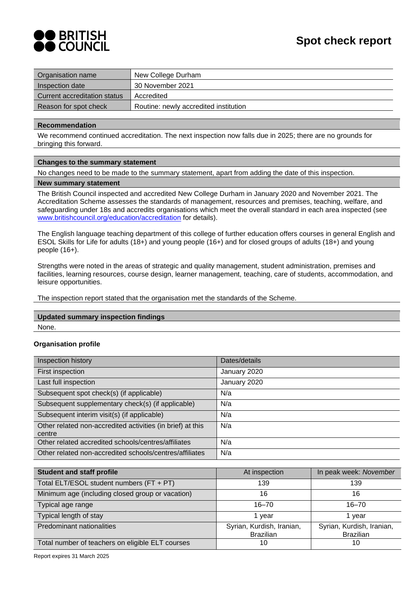

| Organisation name            | New College Durham                    |
|------------------------------|---------------------------------------|
| Inspection date              | 30 November 2021                      |
| Current accreditation status | Accredited                            |
| Reason for spot check        | Routine: newly accredited institution |
|                              |                                       |

#### **Recommendation**

We recommend continued accreditation. The next inspection now falls due in 2025; there are no grounds for bringing this forward.

#### **Changes to the summary statement**

No changes need to be made to the summary statement, apart from adding the date of this inspection.

#### **New summary statement**

The British Council inspected and accredited New College Durham in January 2020 and November 2021. The Accreditation Scheme assesses the standards of management, resources and premises, teaching, welfare, and safeguarding under 18s and accredits organisations which meet the overall standard in each area inspected (see [www.britishcouncil.org/education/accreditation](http://www.britishcouncil.org/education/accreditation) for details).

The English language teaching department of this college of further education offers courses in general English and ESOL Skills for Life for adults (18+) and young people (16+) and for closed groups of adults (18+) and young people (16+).

Strengths were noted in the areas of strategic and quality management, student administration, premises and facilities, learning resources, course design, learner management, teaching, care of students, accommodation, and leisure opportunities.

The inspection report stated that the organisation met the standards of the Scheme.

# **Updated summary inspection findings**

None.

### **Organisation profile**

| Inspection history                                                   | Dates/details |
|----------------------------------------------------------------------|---------------|
| First inspection                                                     | January 2020  |
| Last full inspection                                                 | January 2020  |
| Subsequent spot check(s) (if applicable)                             | N/a           |
| Subsequent supplementary check(s) (if applicable)                    | N/a           |
| Subsequent interim visit(s) (if applicable)                          | N/a           |
| Other related non-accredited activities (in brief) at this<br>centre | N/a           |
| Other related accredited schools/centres/affiliates                  | N/a           |
| Other related non-accredited schools/centres/affiliates              | N/a           |

| <b>Student and staff profile</b>                 | At inspection             | In peak week: November    |
|--------------------------------------------------|---------------------------|---------------------------|
| Total ELT/ESOL student numbers (FT + PT)         | 139                       | 139                       |
| Minimum age (including closed group or vacation) | 16                        | 16                        |
| Typical age range                                | $16 - 70$                 | $16 - 70$                 |
| Typical length of stay                           | 1 vear                    | 1 vear                    |
| Predominant nationalities                        | Syrian, Kurdish, Iranian, | Syrian, Kurdish, Iranian, |
|                                                  | <b>Brazilian</b>          | <b>Brazilian</b>          |
| Total number of teachers on eligible ELT courses | 10                        | 10                        |

Report expires 31 March 2025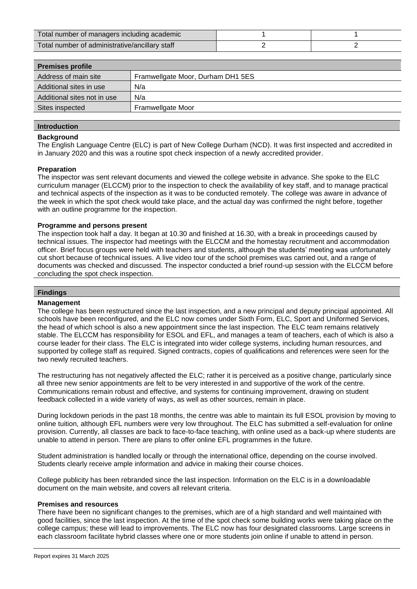| Total number of managers including academic    |  |
|------------------------------------------------|--|
| Total number of administrative/ancillary staff |  |

| <b>Premises profile</b>     |                                   |
|-----------------------------|-----------------------------------|
| Address of main site        | Framwellgate Moor, Durham DH1 5ES |
| Additional sites in use     | N/a                               |
| Additional sites not in use | N/a                               |
| Sites inspected             | Framwellgate Moor                 |
|                             |                                   |

# **Introduction**

## **Background**

The English Language Centre (ELC) is part of New College Durham (NCD). It was first inspected and accredited in in January 2020 and this was a routine spot check inspection of a newly accredited provider.

#### **Preparation**

The inspector was sent relevant documents and viewed the college website in advance. She spoke to the ELC curriculum manager (ELCCM) prior to the inspection to check the availability of key staff, and to manage practical and technical aspects of the inspection as it was to be conducted remotely. The college was aware in advance of the week in which the spot check would take place, and the actual day was confirmed the night before, together with an outline programme for the inspection.

#### **Programme and persons present**

The inspection took half a day. It began at 10.30 and finished at 16.30, with a break in proceedings caused by technical issues. The inspector had meetings with the ELCCM and the homestay recruitment and accommodation officer. Brief focus groups were held with teachers and students, although the students' meeting was unfortunately cut short because of technical issues. A live video tour of the school premises was carried out, and a range of documents was checked and discussed. The inspector conducted a brief round-up session with the ELCCM before concluding the spot check inspection.

#### **Findings**

#### **Management**

The college has been restructured since the last inspection, and a new principal and deputy principal appointed. All schools have been reconfigured, and the ELC now comes under Sixth Form, ELC, Sport and Uniformed Services, the head of which school is also a new appointment since the last inspection. The ELC team remains relatively stable. The ELCCM has responsibility for ESOL and EFL, and manages a team of teachers, each of which is also a course leader for their class. The ELC is integrated into wider college systems, including human resources, and supported by college staff as required. Signed contracts, copies of qualifications and references were seen for the two newly recruited teachers.

The restructuring has not negatively affected the ELC; rather it is perceived as a positive change, particularly since all three new senior appointments are felt to be very interested in and supportive of the work of the centre. Communications remain robust and effective, and systems for continuing improvement, drawing on student feedback collected in a wide variety of ways, as well as other sources, remain in place.

During lockdown periods in the past 18 months, the centre was able to maintain its full ESOL provision by moving to online tuition, although EFL numbers were very low throughout. The ELC has submitted a self-evaluation for online provision. Currently, all classes are back to face-to-face teaching, with online used as a back-up where students are unable to attend in person. There are plans to offer online EFL programmes in the future.

Student administration is handled locally or through the international office, depending on the course involved. Students clearly receive ample information and advice in making their course choices.

College publicity has been rebranded since the last inspection. Information on the ELC is in a downloadable document on the main website, and covers all relevant criteria.

#### **Premises and resources**

There have been no significant changes to the premises, which are of a high standard and well maintained with good facilities, since the last inspection. At the time of the spot check some building works were taking place on the college campus; these will lead to improvements. The ELC now has four designated classrooms. Large screens in each classroom facilitate hybrid classes where one or more students join online if unable to attend in person.